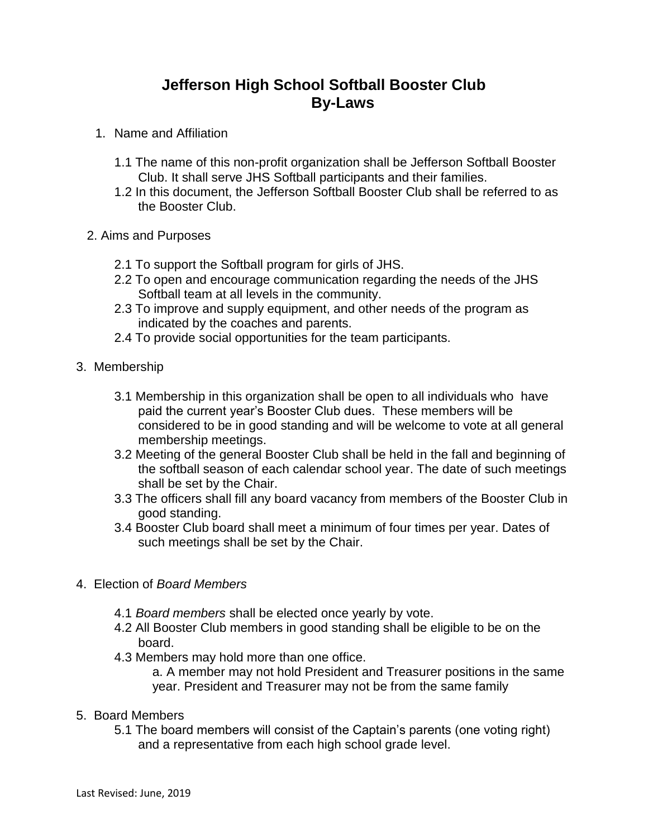## **Jefferson High School Softball Booster Club By-Laws**

- 1. Name and Affiliation
	- 1.1 The name of this non-profit organization shall be Jefferson Softball Booster Club. It shall serve JHS Softball participants and their families.
	- 1.2 In this document, the Jefferson Softball Booster Club shall be referred to as the Booster Club.
- 2. Aims and Purposes
	- 2.1 To support the Softball program for girls of JHS.
	- 2.2 To open and encourage communication regarding the needs of the JHS Softball team at all levels in the community.
	- 2.3 To improve and supply equipment, and other needs of the program as indicated by the coaches and parents.
	- 2.4 To provide social opportunities for the team participants.
- 3. Membership
	- 3.1 Membership in this organization shall be open to all individuals who have paid the current year's Booster Club dues. These members will be considered to be in good standing and will be welcome to vote at all general membership meetings.
	- 3.2 Meeting of the general Booster Club shall be held in the fall and beginning of the softball season of each calendar school year. The date of such meetings shall be set by the Chair.
	- 3.3 The officers shall fill any board vacancy from members of the Booster Club in good standing.
	- 3.4 Booster Club board shall meet a minimum of four times per year. Dates of such meetings shall be set by the Chair.
- 4. Election of *Board Members*
	- 4.1 *Board members* shall be elected once yearly by vote.
	- 4.2 All Booster Club members in good standing shall be eligible to be on the board.
	- 4.3 Members may hold more than one office.

a. A member may not hold President and Treasurer positions in the same year. President and Treasurer may not be from the same family

- 5. Board Members
	- 5.1 The board members will consist of the Captain's parents (one voting right) and a representative from each high school grade level.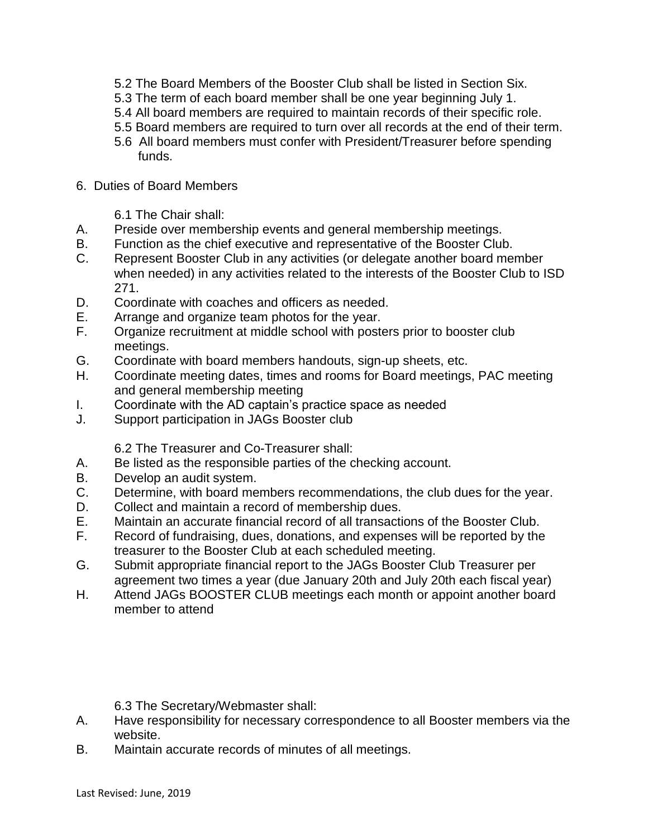- 5.2 The Board Members of the Booster Club shall be listed in Section Six.
- 5.3 The term of each board member shall be one year beginning July 1.
- 5.4 All board members are required to maintain records of their specific role.
- 5.5 Board members are required to turn over all records at the end of their term.
- 5.6 All board members must confer with President/Treasurer before spending funds.
- 6. Duties of Board Members

6.1 The Chair shall:

- A. Preside over membership events and general membership meetings.
- B. Function as the chief executive and representative of the Booster Club.
- C. Represent Booster Club in any activities (or delegate another board member when needed) in any activities related to the interests of the Booster Club to ISD 271.
- D. Coordinate with coaches and officers as needed.
- E. Arrange and organize team photos for the year.
- F. Organize recruitment at middle school with posters prior to booster club meetings.
- G. Coordinate with board members handouts, sign-up sheets, etc.
- H. Coordinate meeting dates, times and rooms for Board meetings, PAC meeting and general membership meeting
- I. Coordinate with the AD captain's practice space as needed
- J. Support participation in JAGs Booster club

6.2 The Treasurer and Co-Treasurer shall:

- A. Be listed as the responsible parties of the checking account.
- B. Develop an audit system.
- C. Determine, with board members recommendations, the club dues for the year.
- D. Collect and maintain a record of membership dues.
- E. Maintain an accurate financial record of all transactions of the Booster Club.
- F. Record of fundraising, dues, donations, and expenses will be reported by the treasurer to the Booster Club at each scheduled meeting.
- G. Submit appropriate financial report to the JAGs Booster Club Treasurer per agreement two times a year (due January 20th and July 20th each fiscal year)
- H. Attend JAGs BOOSTER CLUB meetings each month or appoint another board member to attend

6.3 The Secretary/Webmaster shall:

- A. Have responsibility for necessary correspondence to all Booster members via the website.
- B. Maintain accurate records of minutes of all meetings.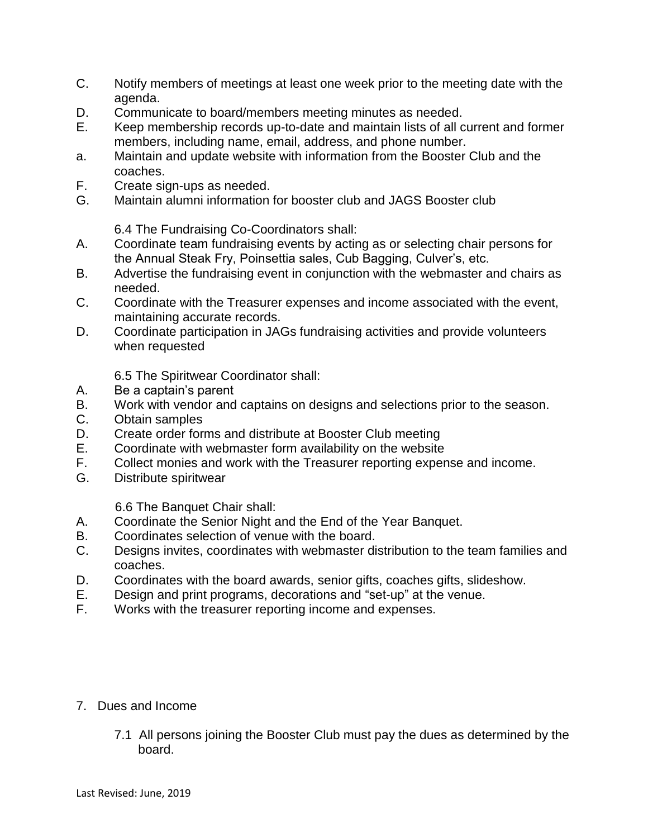- C. Notify members of meetings at least one week prior to the meeting date with the agenda.
- D. Communicate to board/members meeting minutes as needed.
- E. Keep membership records up-to-date and maintain lists of all current and former members, including name, email, address, and phone number.
- a. Maintain and update website with information from the Booster Club and the coaches.
- F. Create sign-ups as needed.
- G. Maintain alumni information for booster club and JAGS Booster club

6.4 The Fundraising Co-Coordinators shall:

- A. Coordinate team fundraising events by acting as or selecting chair persons for the Annual Steak Fry, Poinsettia sales, Cub Bagging, Culver's, etc.
- B. Advertise the fundraising event in conjunction with the webmaster and chairs as needed.
- C. Coordinate with the Treasurer expenses and income associated with the event, maintaining accurate records.
- D. Coordinate participation in JAGs fundraising activities and provide volunteers when requested

6.5 The Spiritwear Coordinator shall:

- A. Be a captain's parent
- B. Work with vendor and captains on designs and selections prior to the season.
- C. Obtain samples
- D. Create order forms and distribute at Booster Club meeting
- E. Coordinate with webmaster form availability on the website
- F. Collect monies and work with the Treasurer reporting expense and income.
- G. Distribute spiritwear

6.6 The Banquet Chair shall:

- A. Coordinate the Senior Night and the End of the Year Banquet.
- B. Coordinates selection of venue with the board.
- C. Designs invites, coordinates with webmaster distribution to the team families and coaches.
- D. Coordinates with the board awards, senior gifts, coaches gifts, slideshow.
- E. Design and print programs, decorations and "set-up" at the venue.
- F. Works with the treasurer reporting income and expenses.
- 7. Dues and Income
	- 7.1 All persons joining the Booster Club must pay the dues as determined by the board.